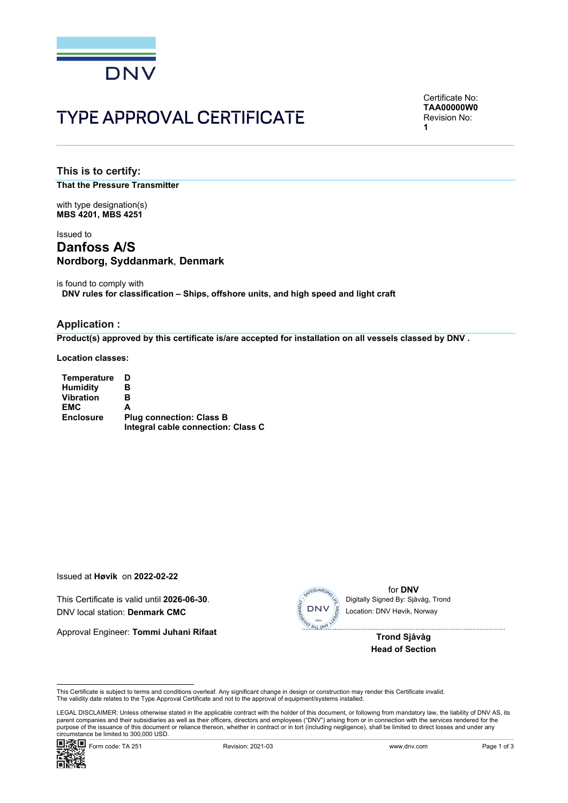

# **TYPE APPROVAL CERTIFICATE**

Certificate No: **TAA00000W0** Revision No: 1

This is to certify: **That the Pressure Transmitter** 

with type designation(s) **MBS 4201. MBS 4251** 

# Issued to **Danfoss A/S** Nordborg, Syddanmark, Denmark

is found to comply with DNV rules for classification - Ships, offshore units, and high speed and light craft

# **Application:**

Product(s) approved by this certificate is/are accepted for installation on all vessels classed by DNV.

**Location classes:** 

| Temperature      | D                                  |
|------------------|------------------------------------|
| <b>Humidity</b>  | в                                  |
| <b>Vibration</b> | в                                  |
| <b>EMC</b>       | А                                  |
| <b>Enclosure</b> | <b>Plug connection: Class B</b>    |
|                  | Integral cable connection: Class C |

Issued at Høvik on 2022-02-22

This Certificate is valid until 2026-06-30. DNV local station: Denmark CMC

Approval Engineer: Tommi Juhani Rifaat



for DNV Digitally Signed By: Sjåvåg, Trond Location: DNV Høvik, Norway

> **Trond Sjåvåg Head of Section**

This Certificate is subject to terms and conditions overleaf. Any significant change in design or construction may render this Certificate invalid. The validity date relates to the Type Approval Certificate and not to the approval of equipment/systems installed

LEGAL DISCLAIMER: Unless otherwise stated in the applicable contract with the holder of this document, or following from mandatory law, the liability of DNV AS, its parent companies and their subsidiaries as well as their officers, directors and employees ("DNV") arising from or in connection with the services rendered for the purpose of the issuance of this document or reliance thereon, whether in contract or in tort (including negligence), shall be limited to direct losses and under any circumstance be limited to 300,000 USD.

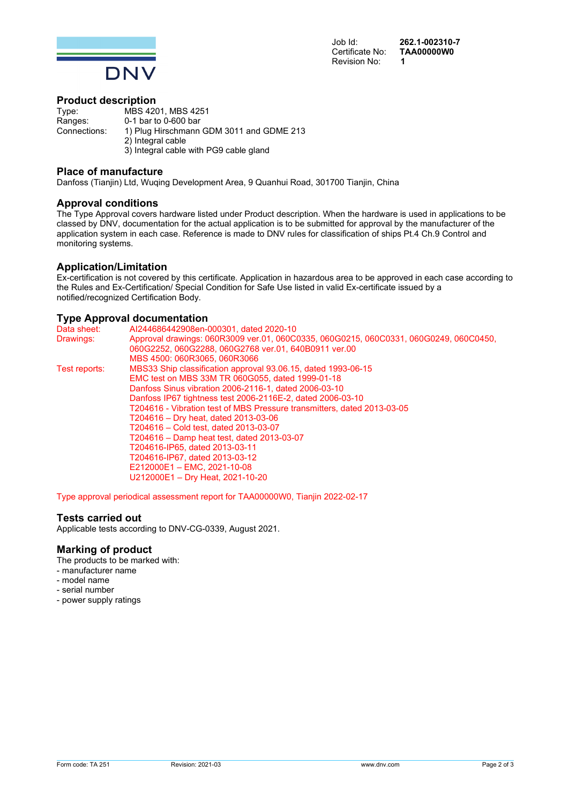

Job Id: Certificate No: Revision No:

262.1-002310-7 **TAA00000W0**  $\overline{\mathbf{1}}$ 

# **Product description**

Type: MBS 4201, MBS 4251 Ranges: 0-1 bar to 0-600 bar Connections: 1) Plug Hirschmann GDM 3011 and GDME 213 2) Integral cable 3) Integral cable with PG9 cable gland

# **Place of manufacture**

Danfoss (Tianjin) Ltd, Wuqing Development Area, 9 Quanhui Road, 301700 Tianjin, China

# **Approval conditions**

The Type Approval covers hardware listed under Product description. When the hardware is used in applications to be classed by DNV, documentation for the actual application is to be submitted for approval by the manufacturer of the application system in each case. Reference is made to DNV rules for classification of ships Pt.4 Ch.9 Control and monitoring systems.

#### **Application/Limitation**

Ex-certification is not covered by this certificate. Application in hazardous area to be approved in each case according to the Rules and Ex-Certification/ Special Condition for Safe Use listed in valid Ex-certificate issued by a notified/recognized Certification Body.

#### **Type Approval documentation**

| Data sheet:   | AI244686442908en-000301, dated 2020-10                                                |
|---------------|---------------------------------------------------------------------------------------|
| Drawings:     | Approval drawings: 060R3009 ver.01, 060C0335, 060G0215, 060C0331, 060G0249, 060C0450, |
|               | 060G2252, 060G2288, 060G2768 ver.01, 640B0911 ver.00                                  |
|               | MBS 4500: 060R3065, 060R3066                                                          |
| Test reports: | MBS33 Ship classification approval 93.06.15, dated 1993-06-15                         |
|               | EMC test on MBS 33M TR 060G055, dated 1999-01-18                                      |
|               | Danfoss Sinus vibration 2006-2116-1, dated 2006-03-10                                 |
|               | Danfoss IP67 tightness test 2006-2116E-2, dated 2006-03-10                            |
|               | T204616 - Vibration test of MBS Pressure transmitters, dated 2013-03-05               |
|               | T204616 – Dry heat, dated 2013-03-06                                                  |
|               | T204616 – Cold test. dated 2013-03-07                                                 |
|               | T204616 - Damp heat test, dated 2013-03-07                                            |
|               | T204616-IP65, dated 2013-03-11                                                        |
|               | T204616-IP67, dated 2013-03-12                                                        |
|               | E212000E1 - EMC, 2021-10-08                                                           |
|               | U212000E1 - Dry Heat, 2021-10-20                                                      |

Type approval periodical assessment report for TAA00000W0, Tianjin 2022-02-17

#### **Tests carried out**

Applicable tests according to DNV-CG-0339, August 2021.

# **Marking of product**

The products to be marked with:

- manufacturer name
- model name
- serial number
- power supply ratings